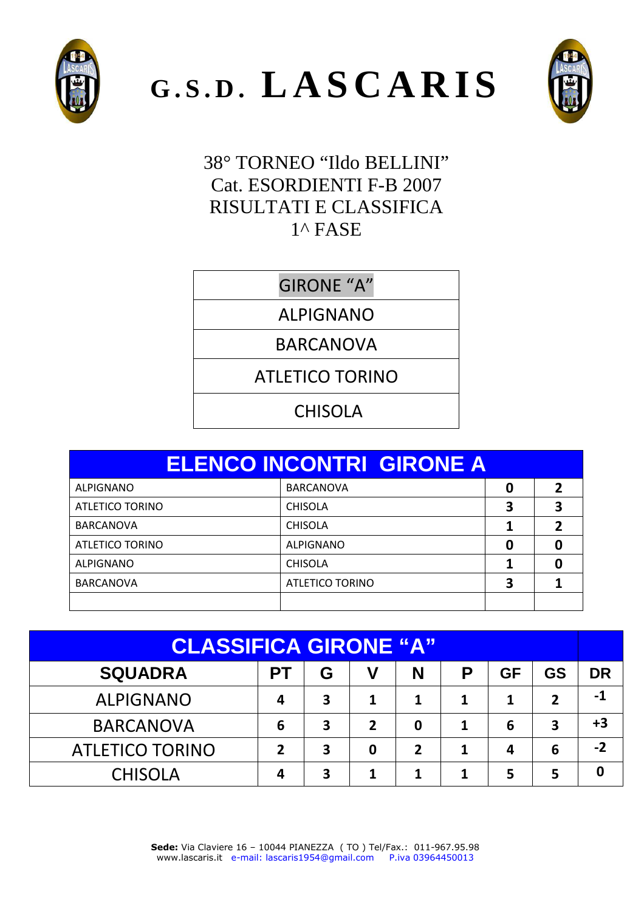





38° TORNEO "Ildo BELLINI" Cat. ESORDIENTI F-B 2007 RISULTATI E CLASSIFICA  $1^{\wedge}$  FASE

GIRONE "A"

ALPIGNANO

BARCANOVA

ATLETICO TORINO

CHISOLA

|                  | <b>ELENCO INCONTRI GIRONE A</b> |   |   |
|------------------|---------------------------------|---|---|
| ALPIGNANO        | <b>BARCANOVA</b>                | 0 | 7 |
| ATLETICO TORINO  | <b>CHISOLA</b>                  |   |   |
| <b>BARCANOVA</b> | <b>CHISOLA</b>                  |   | 2 |
| ATLETICO TORINO  | <b>ALPIGNANO</b>                | 0 |   |
| <b>ALPIGNANO</b> | <b>CHISOLA</b>                  |   |   |
| <b>BARCANOVA</b> | <b>ATLETICO TORINO</b>          | 3 |   |
|                  |                                 |   |   |

| <b>CLASSIFICA GIRONE "A"</b>                                       |   |                         |   |             |   |   |                |      |
|--------------------------------------------------------------------|---|-------------------------|---|-------------|---|---|----------------|------|
| <b>SQUADRA</b><br>V<br>P<br><b>GS</b><br>G<br><b>GF</b><br>N<br>PТ |   |                         |   |             |   |   |                | DR   |
| <b>ALPIGNANO</b>                                                   | 4 | $\overline{\mathbf{3}}$ | 1 | 1           | 1 | 1 | $\overline{2}$ | -1   |
| <b>BARCANOVA</b>                                                   | 6 | 3                       | 2 | $\mathbf 0$ |   | 6 | 3              | $+3$ |
| <b>ATLETICO TORINO</b>                                             | 2 | 3                       | 0 | 2           | 1 | 4 | 6              | $-2$ |
| <b>CHISOLA</b>                                                     | 4 | 3                       | 1 | 1           |   | 5 | 5              | 0    |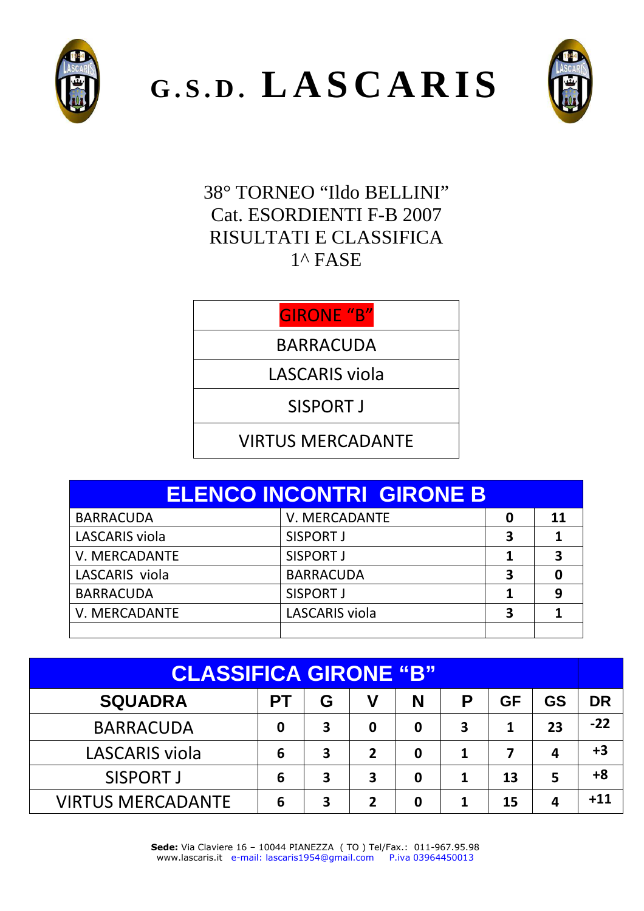

**G . S . D . L A S C A R I S**



38° TORNEO "Ildo BELLINI" Cat. ESORDIENTI F-B 2007 RISULTATI E CLASSIFICA 1^ FASE

#### GIRONE "B"

BARRACUDA

LASCARIS viola

SISPORT J

#### VIRTUS MERCADANTE

| <b>ELENCO INCONTRI GIRONE B</b> |                  |   |    |
|---------------------------------|------------------|---|----|
| <b>BARRACUDA</b>                | V. MERCADANTE    | 0 | 11 |
| <b>LASCARIS viola</b>           | SISPORT J        | 3 |    |
| V. MERCADANTE                   |                  | 3 |    |
| LASCARIS viola                  | <b>BARRACUDA</b> | 3 |    |
| <b>BARRACUDA</b>                | <b>SISPORT J</b> |   | 9  |
| V. MERCADANTE                   | 3                |   |    |
|                                 |                  |   |    |

| <b>CLASSIFICA GIRONE "B"</b> |           |   |   |   |   |           |           |           |
|------------------------------|-----------|---|---|---|---|-----------|-----------|-----------|
| <b>SQUADRA</b>               | <b>PT</b> | G | V | N | Р | <b>GF</b> | <b>GS</b> | <b>DR</b> |
| <b>BARRACUDA</b>             | 0         | 3 | 0 | 0 | 3 | 1         | 23        | $-22$     |
| LASCARIS viola               | 6         | 3 | 2 | 0 |   | 7         | 4         | $+3$      |
| SISPORT J                    | 6         | 3 | 3 | 0 | 1 | 13        | 5         | $+8$      |
| <b>VIRTUS MERCADANTE</b>     | 6         | 3 | 2 | 0 |   | 15        | 4         | $+11$     |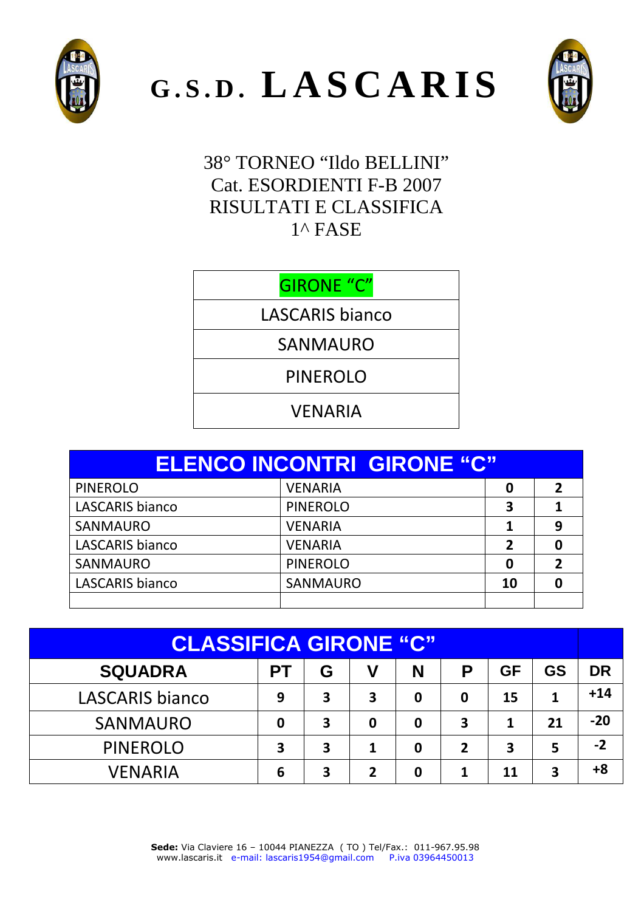





38° TORNEO "Ildo BELLINI" Cat. ESORDIENTI F-B 2007 RISULTATI E CLASSIFICA  $1^{\wedge}$  FASE

GIRONE "C"

LASCARIS bianco

SANMAURO

PINEROLO

VENARIA

|                        | <b>ELENCO INCONTRI GIRONE "C"</b> |              |   |
|------------------------|-----------------------------------|--------------|---|
| <b>PINEROLO</b>        | <b>VENARIA</b>                    | 0            |   |
| <b>LASCARIS bianco</b> | <b>PINEROLO</b>                   | 3            |   |
| SANMAURO               | <b>VENARIA</b>                    |              | 9 |
| LASCARIS bianco        | <b>VENARIA</b>                    | $\mathbf{z}$ |   |
| <b>SANMAURO</b>        | <b>PINEROLO</b>                   | 0            |   |
| LASCARIS bianco        | <b>SANMAURO</b>                   | 10           |   |
|                        |                                   |              |   |

| <b>CLASSIFICA GIRONE "C"</b> |    |   |   |   |                |           |           |           |
|------------------------------|----|---|---|---|----------------|-----------|-----------|-----------|
| <b>SQUADRA</b>               | PТ | G | V | N | P              | <b>GF</b> | <b>GS</b> | <b>DR</b> |
| LASCARIS bianco              | 9  | 3 | 3 | 0 | 0              | 15        | 1         | $+14$     |
| <b>SANMAURO</b>              | 0  | 3 | 0 | 0 | 3              | 1         | 21        | $-20$     |
| <b>PINEROLO</b>              | 3  | 3 | 1 | 0 | $\overline{2}$ | 3         | 5         | $-2$      |
| VENARIA                      | 6  | 3 | 2 | 0 | 1              | 11        | 3         | +8        |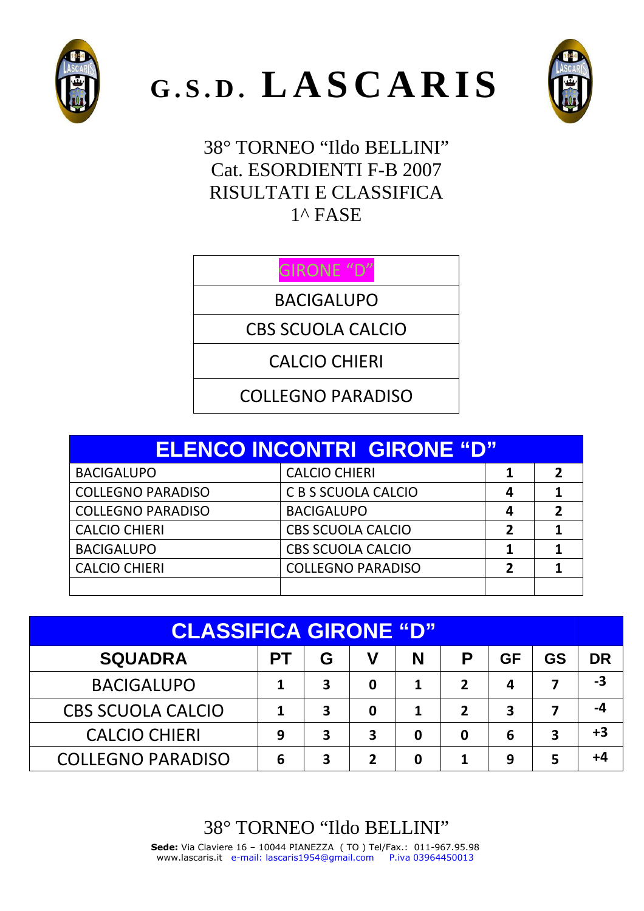





38° TORNEO "Ildo BELLINI" Cat. ESORDIENTI F-B 2007 RISULTATI E CLASSIFICA 1^ FASE

## GIRONE "D"

BACIGALUPO

CBS SCUOLA CALCIO

CALCIO CHIERI

COLLEGNO PARADISO

| <b>ELENCO INCONTRI GIRONE "D"</b> |                          |   |                         |  |  |  |
|-----------------------------------|--------------------------|---|-------------------------|--|--|--|
| <b>BACIGALUPO</b>                 | <b>CALCIO CHIERI</b>     |   | $\overline{\mathbf{z}}$ |  |  |  |
| <b>COLLEGNO PARADISO</b>          | C B S SCUOLA CALCIO      | 4 |                         |  |  |  |
| <b>COLLEGNO PARADISO</b>          | <b>BACIGALUPO</b>        | 4 | 2                       |  |  |  |
| <b>CALCIO CHIERI</b>              | <b>CBS SCUOLA CALCIO</b> | 7 |                         |  |  |  |
| <b>BACIGALUPO</b>                 | <b>CBS SCUOLA CALCIO</b> |   |                         |  |  |  |
| <b>CALCIO CHIERI</b>              | <b>COLLEGNO PARADISO</b> | 2 |                         |  |  |  |
|                                   |                          |   |                         |  |  |  |

| <b>CLASSIFICA GIRONE "D"</b>                                |   |   |   |   |                  |   |   |           |
|-------------------------------------------------------------|---|---|---|---|------------------|---|---|-----------|
| <b>SQUADRA</b><br><b>GS</b><br>V<br>G<br>N<br>GF<br>Р<br>PТ |   |   |   |   |                  |   |   | <b>DR</b> |
| <b>BACIGALUPO</b>                                           |   | 3 | 0 |   | $\boldsymbol{z}$ | 4 |   | -3        |
| <b>CBS SCUOLA CALCIO</b>                                    |   | 3 | 0 |   | $\boldsymbol{z}$ | 3 |   | -4        |
| <b>CALCIO CHIERI</b>                                        | 9 | 3 | 3 | 0 | 0                | 6 | 3 | +3        |
| <b>COLLEGNO PARADISO</b>                                    | 6 | 3 | 7 | 0 |                  | 9 | 5 | +4        |

# 38° TORNEO "Ildo BELLINI"

**Sede:** Via Claviere 16 – 10044 PIANEZZA ( TO ) Tel/Fax.: 011-967.95.98 www.lascaris.it e-mail: lascaris1954@gmail.com P.iva 03964450013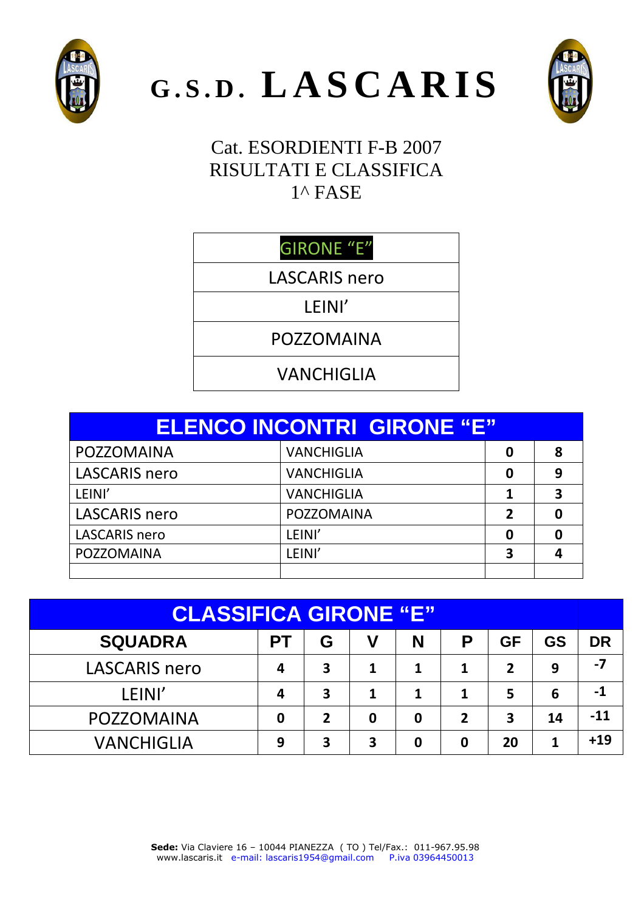





## Cat. ESORDIENTI F-B 2007 RISULTATI E CLASSIFICA 1^ FASE

# GIRONE "E"

LASCARIS nero

### LEINI'

POZZOMAINA

VANCHIGLIA

|                      | <b>ELENCO INCONTRI GIRONE "E"</b> |   |   |
|----------------------|-----------------------------------|---|---|
| POZZOMAINA           | <b>VANCHIGLIA</b>                 | 0 | 8 |
| <b>LASCARIS nero</b> | <b>VANCHIGLIA</b>                 | 0 | 9 |
| LEINI'               | <b>VANCHIGLIA</b>                 |   | 3 |
| <b>LASCARIS nero</b> | POZZOMAINA                        | 2 |   |
| <b>LASCARIS</b> nero | LEINI'                            | 0 |   |
| POZZOMAINA           | LEINI'                            | 3 |   |
|                      |                                   |   |   |

| <b>CLASSIFICA GIRONE "E"</b> |             |                |             |   |                         |           |           |           |
|------------------------------|-------------|----------------|-------------|---|-------------------------|-----------|-----------|-----------|
| <b>SQUADRA</b>               | <b>PT</b>   | G              | V           | N | P                       | <b>GF</b> | <b>GS</b> | <b>DR</b> |
| <b>LASCARIS nero</b>         | 4           | 3              |             | 1 | 1                       | 2         | 9         | $-7$      |
| LEINI'                       | 4           | 3              |             | 1 | 1                       | 5         | 6         | -1        |
| POZZOMAINA                   | $\mathbf 0$ | $\overline{2}$ | $\mathbf 0$ | 0 | $\overline{\mathbf{z}}$ | 3         | 14        | -11       |
| <b>VANCHIGLIA</b>            | 9           | 3              | 3           | 0 | $\mathbf 0$             | 20        |           | $+19$     |